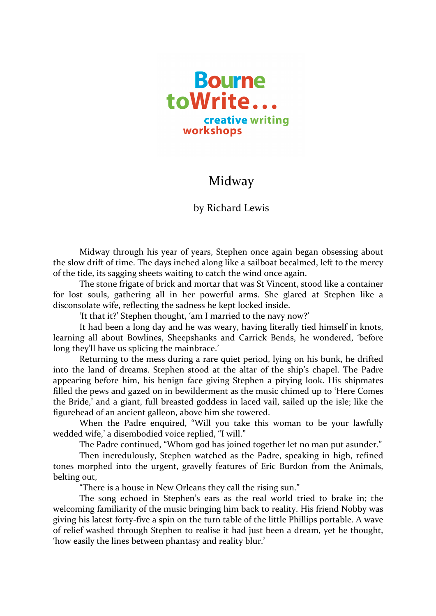

## Midway

## by Richard Lewis

Midway through his year of years, Stephen once again began obsessing about the slow drift of time. The days inched along like a sailboat becalmed, left to the mercy of the tide, its sagging sheets waiting to catch the wind once again.

The stone frigate of brick and mortar that was St Vincent, stood like a container for lost souls, gathering all in her powerful arms. She glared at Stephen like a disconsolate wife, reflecting the sadness he kept locked inside.

'It that it?' Stephen thought, 'am I married to the navy now?'

It had been a long day and he was weary, having literally tied himself in knots, learning all about Bowlines, Sheepshanks and Carrick Bends, he wondered, 'before long they'll have us splicing the mainbrace.'

Returning to the mess during a rare quiet period, lying on his bunk, he drifted into the land of dreams. Stephen stood at the altar of the ship's chapel. The Padre appearing before him, his benign face giving Stephen a pitying look. His shipmates filled the pews and gazed on in bewilderment as the music chimed up to 'Here Comes the Bride,' and a giant, full breasted goddess in laced vail, sailed up the isle; like the figurehead of an ancient galleon, above him she towered.

When the Padre enquired, "Will you take this woman to be your lawfully wedded wife,' a disembodied voice replied, "I will."

The Padre continued, "Whom god has joined together let no man put asunder."

Then incredulously, Stephen watched as the Padre, speaking in high, refined tones morphed into the urgent, gravelly features of Eric Burdon from the Animals, belting out,

"There is a house in New Orleans they call the rising sun."

The song echoed in Stephen's ears as the real world tried to brake in; the welcoming familiarity of the music bringing him back to reality. His friend Nobby was giving his latest forty-five a spin on the turn table of the little Phillips portable. A wave of relief washed through Stephen to realise it had just been a dream, yet he thought, 'how easily the lines between phantasy and reality blur.'